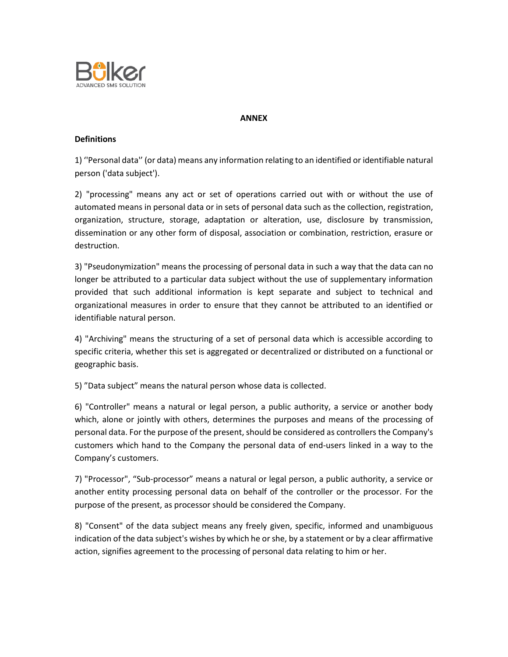

## **ANNEX**

## **Definitions**

1) ''Personal data'' (or data) means any information relating to an identified or identifiable natural person ('data subject').

2) "processing" means any act or set of operations carried out with or without the use of automated means in personal data or in sets of personal data such as the collection, registration, organization, structure, storage, adaptation or alteration, use, disclosure by transmission, dissemination or any other form of disposal, association or combination, restriction, erasure or destruction.

3) "Pseudonymization" means the processing of personal data in such a way that the data can no longer be attributed to a particular data subject without the use of supplementary information provided that such additional information is kept separate and subject to technical and organizational measures in order to ensure that they cannot be attributed to an identified or identifiable natural person.

4) "Archiving" means the structuring of a set of personal data which is accessible according to specific criteria, whether this set is aggregated or decentralized or distributed on a functional or geographic basis.

5) "Data subject" means the natural person whose data is collected.

6) "Controller" means a natural or legal person, a public authority, a service or another body which, alone or jointly with others, determines the purposes and means of the processing of personal data. For the purpose of the present, should be considered as controllers the Company's customers which hand to the Company the personal data of end-users linked in a way to the Company's customers.

7) "Processor", "Sub-processor" means a natural or legal person, a public authority, a service or another entity processing personal data on behalf of the controller or the processor. For the purpose of the present, as processor should be considered the Company.

8) "Consent" of the data subject means any freely given, specific, informed and unambiguous indication of the data subject's wishes by which he or she, by a statement or by a clear affirmative action, signifies agreement to the processing of personal data relating to him or her.